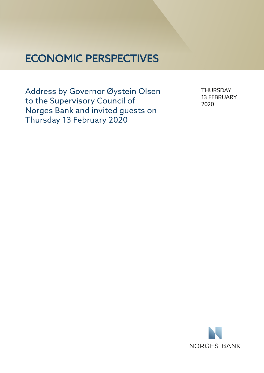## ECONOMIC PERSPECTIVES

Address by Governor Øystein Olsen to the Supervisory Council of Norges Bank and invited guests on Thursday 13 February 2020

**THURSDAY** 13 FEBRUARY 2020

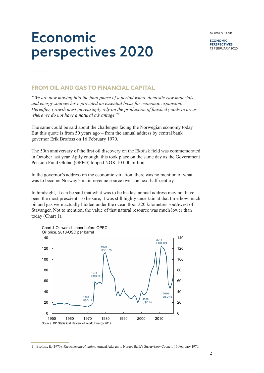Economic perspectives 2020

**ECONOMIC PERSPECTIVES** 13 FEBRUARY 2020

## **FROM OIL AND GAS TO FINANCIAL CAPITAL**

*"We are now moving into the final phase of a period where domestic raw materials and energy sources have provided an essential basis for economic expansion. Hereafter, growth must increasingly rely on the production of finished goods in areas where we do not have a natural advantage."*<sup>1</sup>

The same could be said about the challenges facing the Norwegian economy today. But this quote is from 50 years ago – from the annual address by central bank governor Erik Brofoss on 16 February 1970.

The 50th anniversary of the first oil discovery on the Ekofisk field was commemorated in October last year. Aptly enough, this took place on the same day as the Government Pension Fund Global (GPFG) topped NOK 10 000 billion.

In the governor's address on the economic situation, there was no mention of what was to become Norway's main revenue source over the next half-century.

In hindsight, it can be said that what was to be his last annual address may not have been the most prescient. To be sure, it was still highly uncertain at that time how much oil and gas were actually hidden under the ocean floor 320 kilometres southwest of Stavanger. Not to mention, the value of that natural resource was much lower than today (Chart 1).



<sup>1</sup> Brofoss, E. (1970), *The economic situation*. Annual Address to Norges Bank's Supervisory Council, 16 February 1970.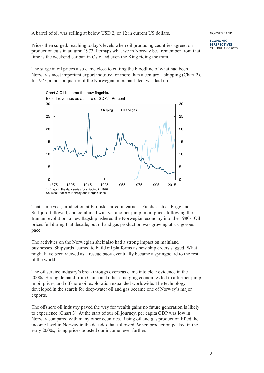A barrel of oil was selling at below USD 2, or 12 in current US dollars.

Prices then surged, reaching today's levels when oil producing countries agreed on production cuts in autumn 1973. Perhaps what we in Norway best remember from that time is the weekend car ban in Oslo and even the King riding the tram.

The surge in oil prices also came close to cutting the bloodline of what had been Norway's most important export industry for more than a century – shipping (Chart 2). In 1975, almost a quarter of the Norwegian merchant fleet was laid up.



That same year, production at Ekofisk started in earnest. Fields such as Frigg and Statfjord followed, and combined with yet another jump in oil prices following the Iranian revolution, a new flagship ushered the Norwegian economy into the 1980s. Oil prices fell during that decade, but oil and gas production was growing at a vigorous pace.

The activities on the Norwegian shelf also had a strong impact on mainland businesses. Shipyards learned to build oil platforms as new ship orders sagged. What might have been viewed as a rescue buoy eventually became a springboard to the rest of the world.

The oil service industry's breakthrough overseas came into clear evidence in the 2000s. Strong demand from China and other emerging economies led to a further jump in oil prices, and offshore oil exploration expanded worldwide. The technology developed in the search for deep-water oil and gas became one of Norway's major exports.

The offshore oil industry paved the way for wealth gains no future generation is likely to experience (Chart 3). At the start of our oil journey, per capita GDP was low in Norway compared with many other countries. Rising oil and gas production lifted the income level in Norway in the decades that followed. When production peaked in the early 2000s, rising prices boosted our income level further.

NORGES BANK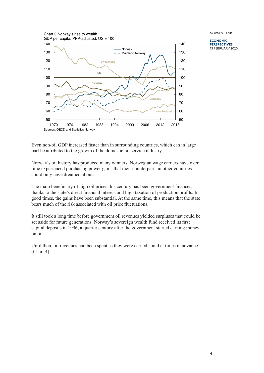1970 1976 1982 1988 1994 2000 2006 2012 2018 50 60 70 80 90 100 110 120 130 140 50 60 70 80 90 100 110 120 130 140 **Switzerland Germany US Sweden New Zealand** Chart 3 Norway's rise to wealth. GDP per capita. PPP-adiusted.  $US = 100$ Sources: OECD and Statistics Norway Norway  $-$  - Mainland Norway

NORGES BANK

**ECONOMIC PERSPECTIVES** 13 FEBRUARY 2020

Even non-oil GDP increased faster than in surrounding countries, which can in large part be attributed to the growth of the domestic oil service industry.

Norway's oil history has produced many winners. Norwegian wage earners have over time experienced purchasing power gains that their counterparts in other countries could only have dreamed about.

The main beneficiary of high oil prices this century has been government finances, thanks to the state's direct financial interest and high taxation of production profits. In good times, the gains have been substantial. At the same time, this means that the state bears much of the risk associated with oil price fluctuations.

It still took a long time before government oil revenues yielded surpluses that could be set aside for future generations. Norway's sovereign wealth fund received its first capital deposits in 1996, a quarter century after the government started earning money on oil.

Until then, oil revenues had been spent as they were earned – and at times in advance (Chart 4).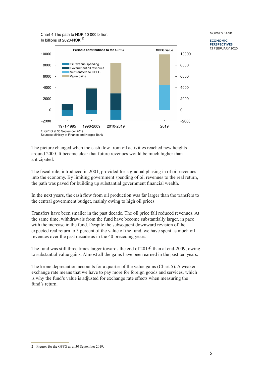Chart 4 The path to NOK 10 000 billion. In billions of 2020-NOK  $1$ )



NORGES BANK

**ECONOMIC PERSPECTIVES** 13 FEBRUARY 2020

The picture changed when the cash flow from oil activities reached new heights around 2000. It became clear that future revenues would be much higher than anticipated.

The fiscal rule, introduced in 2001, provided for a gradual phasing in of oil revenues into the economy. By limiting government spending of oil revenues to the real return, the path was paved for building up substantial government financial wealth.

In the next years, the cash flow from oil production was far larger than the transfers to the central government budget, mainly owing to high oil prices.

Transfers have been smaller in the past decade. The oil price fall reduced revenues. At the same time, withdrawals from the fund have become substantially larger, in pace with the increase in the fund. Despite the subsequent downward revision of the expected real return to 3 percent of the value of the fund, we have spent as much oil revenues over the past decade as in the 40 preceding years.

The fund was still three times larger towards the end of 2019<sup>2</sup> than at end-2009, owing to substantial value gains. Almost all the gains have been earned in the past ten years.

The krone depreciation accounts for a quarter of the value gains (Chart 5). A weaker exchange rate means that we have to pay more for foreign goods and services, which is why the fund's value is adjusted for exchange rate effects when measuring the fund's return.

<sup>2</sup> Figures for the GPFG as at 30 September 2019.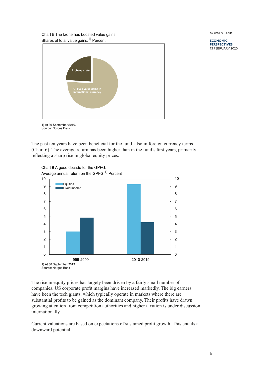Chart 5 The krone has boosted value gains. Shares of total value gains.<sup>1)</sup> Percent



1) At 30 September 2019. Source: Norges Bank

The past ten years have been beneficial for the fund, also in foreign currency terms (Chart 6). The average return has been higher than in the fund's first years, primarily reflecting a sharp rise in global equity prices.



The rise in equity prices has largely been driven by a fairly small number of companies. US corporate profit margins have increased markedly. The big earners have been the tech giants, which typically operate in markets where there are substantial profits to be gained as the dominant company. Their profits have drawn growing attention from competition authorities and higher taxation is under discussion internationally.

Current valuations are based on expectations of sustained profit growth. This entails a downward potential.

NORGES BANK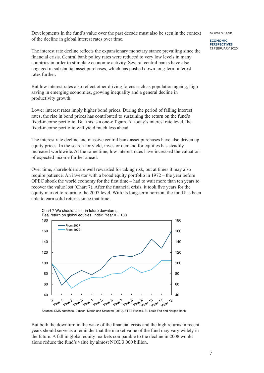Developments in the fund's value over the past decade must also be seen in the context of the decline in global interest rates over time.

The interest rate decline reflects the expansionary monetary stance prevailing since the financial crisis. Central bank policy rates were reduced to very low levels in many countries in order to stimulate economic activity. Several central banks have also engaged in substantial asset purchases, which has pushed down long-term interest rates further.

But low interest rates also reflect other driving forces such as population ageing, high saving in emerging economies, growing inequality and a general decline in productivity growth.

Lower interest rates imply higher bond prices. During the period of falling interest rates, the rise in bond prices has contributed to sustaining the return on the fund's fixed-income portfolio. But this is a one-off gain. At today's interest rate level, the fixed-income portfolio will yield much less ahead.

The interest rate decline and massive central bank asset purchases have also driven up equity prices. In the search for yield, investor demand for equities has steadily increased worldwide. At the same time, low interest rates have increased the valuation of expected income further ahead.

Over time, shareholders are well rewarded for taking risk, but at times it may also require patience. An investor with a broad equity portfolio in 1972 – the year before OPEC shook the world economy for the first time – had to wait more than ten years to recover the value lost (Chart 7). After the financial crisis, it took five years for the equity market to return to the 2007 level. With its long-term horizon, the fund has been able to earn solid returns since that time.



Sources: DMS database, Dimson, Marsh and Staunton (2019), FTSE Russell, St. Louis Fed and Norges Bank

But both the downturn in the wake of the financial crisis and the high returns in recent years should serve as a reminder that the market value of the fund may vary widely in the future. A fall in global equity markets comparable to the decline in 2008 would alone reduce the fund's value by almost NOK 3 000 billion.

NORGES BANK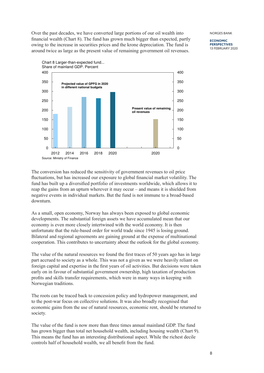Over the past decades, we have converted large portions of our oil wealth into financial wealth (Chart 8). The fund has grown much bigger than expected, partly owing to the increase in securities prices and the krone depreciation. The fund is around twice as large as the present value of remaining government oil revenues.

NORGES BANK

**ECONOMIC PERSPECTIVES** 13 FEBRUARY 2020



The conversion has reduced the sensitivity of government revenues to oil price fluctuations, but has increased our exposure to global financial market volatility. The fund has built up a diversified portfolio of investments worldwide, which allows it to reap the gains from an upturn wherever it may occur – and means it is shielded from negative events in individual markets. But the fund is not immune to a broad-based downturn.

As a small, open economy, Norway has always been exposed to global economic developments. The substantial foreign assets we have accumulated mean that our economy is even more closely intertwined with the world economy. It is then unfortunate that the rule-based order for world trade since 1945 is losing ground. Bilateral and regional agreements are gaining ground at the expense of multinational cooperation. This contributes to uncertainty about the outlook for the global economy.

The value of the natural resources we found the first traces of 50 years ago has in large part accrued to society as a whole. This was not a given as we were heavily reliant on foreign capital and expertise in the first years of oil activities. But decisions were taken early on in favour of substantial government ownership, high taxation of production profits and skills transfer requirements, which were in many ways in keeping with Norwegian traditions.

The roots can be traced back to concession policy and hydropower management, and to the post-war focus on collective solutions. It was also broadly recognised that economic gains from the use of natural resources, economic rent, should be returned to society.

The value of the fund is now more than three times annual mainland GDP. The fund has grown bigger than total net household wealth, including housing wealth (Chart 9). This means the fund has an interesting distributional aspect. While the richest decile controls half of household wealth, we all benefit from the fund.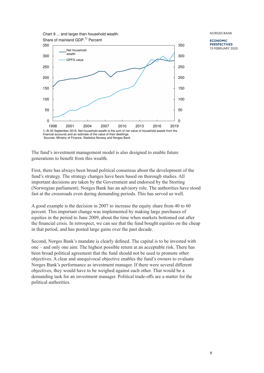

**ECONOMIC PERSPECTIVES** 13 FEBRUARY 2020

The fund's investment management model is also designed to enable future generations to benefit from this wealth.

First, there has always been broad political consensus about the development of the fund's strategy. The strategy changes have been based on thorough studies. All important decisions are taken by the Government and endorsed by the Storting (Norwegian parliament). Norges Bank has an advisory role. The authorities have stood fast at the crossroads even during demanding periods. This has served us well.

A good example is the decision in 2007 to increase the equity share from 40 to 60 percent. This important change was implemented by making large purchases of equities in the period to June 2009, about the time when markets bottomed out after the financial crisis. In retrospect, we can see that the fund bought equities on the cheap in that period, and has posted large gains over the past decade.

Second, Norges Bank's mandate is clearly defined. The capital is to be invested with one – and only one aim: The highest possible return at an acceptable risk. There has been broad political agreement that the fund should not be used to promote other objectives. A clear and unequivocal objective enables the fund's owners to evaluate Norges Bank's performance as investment manager. If there were several different objectives, they would have to be weighed against each other. That would be a demanding task for an investment manager. Political trade-offs are a matter for the political authorities.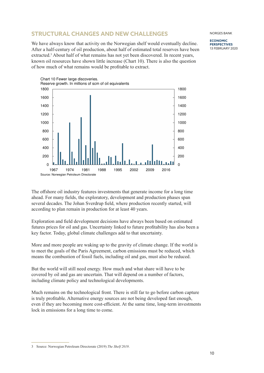## **STRUCTURAL CHANGES AND NEW CHALLENGES**

We have always know that activity on the Norwegian shelf would eventually decline. After a half-century of oil production, about half of estimated total reserves have been extracted.<sup>3</sup> About half of what remains has not yet been discovered. In recent years, known oil resources have shown little increase (Chart 10). There is also the question of how much of what remains would be profitable to extract.



The offshore oil industry features investments that generate income for a long time ahead. For many fields, the exploratory, development and production phases span several decades. The Johan Sverdrup field, where production recently started, will according to plan remain in production for at least 40 years.

Exploration and field development decisions have always been based on estimated futures prices for oil and gas. Uncertainty linked to future profitability has also been a key factor. Today, global climate challenges add to that uncertainty.

More and more people are waking up to the gravity of climate change. If the world is to meet the goals of the Paris Agreement, carbon emissions must be reduced, which means the combustion of fossil fuels, including oil and gas, must also be reduced.

But the world will still need energy. How much and what share will have to be covered by oil and gas are uncertain. That will depend on a number of factors, including climate policy and technological developments.

Much remains on the technological front. There is still far to go before carbon capture is truly profitable. Alternative energy sources are not being developed fast enough, even if they are becoming more cost-efficient. At the same time, long-term investments lock in emissions for a long time to come.

3 Source: Norwegian Petroleum Directorate (2019) *The Shelf 2019*.

NORGES BANK **ECONOMIC**

**PERSPECTIVES** 13 FEBRUARY 2020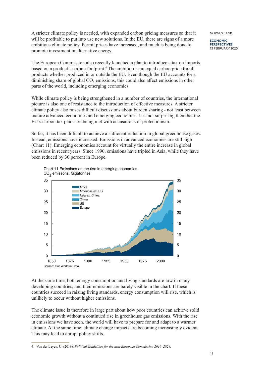A stricter climate policy is needed, with expanded carbon pricing measures so that it will be profitable to put into use new solutions. In the EU, there are signs of a more ambitious climate policy. Permit prices have increased, and much is being done to promote investment in alternative energy.

The European Commission also recently launched a plan to introduce a tax on imports based on a product's carbon footprint.<sup>4</sup> The ambition is an equal carbon price for all products whether produced in or outside the EU. Even though the EU accounts for a diminishing share of global  $CO_2$  emissions, this could also affect emissions in other parts of the world, including emerging economies.

While climate policy is being strengthened in a number of countries, the international picture is also one of resistance to the introduction of effective measures. A stricter climate policy also raises difficult discussions about burden sharing - not least between mature advanced economies and emerging economies. It is not surprising then that the EU's carbon tax plans are being met with accusations of protectionism.

So far, it has been difficult to achieve a sufficient reduction in global greenhouse gases. Instead, emissions have increased. Emissions in advanced economies are still high (Chart 11). Emerging economies account for virtually the entire increase in global emissions in recent years. Since 1990, emissions have tripled in Asia, while they have been reduced by 30 percent in Europe.



Chart 11 Emissions on the rise in emerging economies.

At the same time, both energy consumption and living standards are low in many developing countries, and their emissions are barely visible in the chart. If these countries succeed in raising living standards, energy consumption will rise, which is unlikely to occur without higher emissions.

The climate issue is therefore in large part about how poor countries can achieve solid economic growth without a continued rise in greenhouse gas emissions. With the rise in emissions we have seen, the world will have to prepare for and adapt to a warmer climate. At the same time, climate change impacts are becoming increasingly evident. This may lead to abrupt policy shifts.

4 Von der Leyen, U. (2019): *Political Guidelines for the next European Commission 2019–2024*.

11

NORGES BANK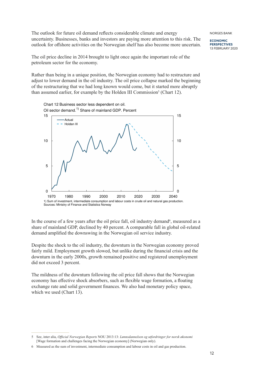The outlook for future oil demand reflects considerable climate and energy uncertainty. Businesses, banks and investors are paying more attention to this risk. The outlook for offshore activities on the Norwegian shelf has also become more uncertain. NORGES BANK

**ECONOMIC PERSPECTIVES** 13 FEBRUARY 2020

The oil price decline in 2014 brought to light once again the important role of the petroleum sector for the economy.

Rather than being in a unique position, the Norwegian economy had to restructure and adjust to lower demand in the oil industry. The oil price collapse marked the beginning of the restructuring that we had long known would come, but it started more abruptly than assumed earlier, for example by the Holden III Commission<sup>5</sup> (Chart 12).



In the course of a few years after the oil price fall, oil industry demand<sup>6</sup>, measured as a share of mainland GDP, declined by 40 percent. A comparable fall in global oil-related demand amplified the downswing in the Norwegian oil service industry.

Despite the shock to the oil industry, the downturn in the Norwegian economy proved fairly mild. Employment growth slowed, but unlike during the financial crisis and the downturn in the early 2000s, growth remained positive and registered unemployment did not exceed 3 percent.

The mildness of the downturn following the oil price fall shows that the Norwegian economy has effective shock absorbers, such as flexible wage formation, a floating exchange rate and solid government finances. We also had monetary policy space, which we used (Chart 13).

<sup>5</sup> See, inter alia, *Official Norwegian Reports* NOU 2013:13: *Lønnsdannelsen og utfordringer for norsk økonomi*  [Wage formation and challenges facing the Norwegian economy] (Norwegian only).

<sup>6</sup> Measured as the sum of investment, intermediate consumption and labour costs in oil and gas production.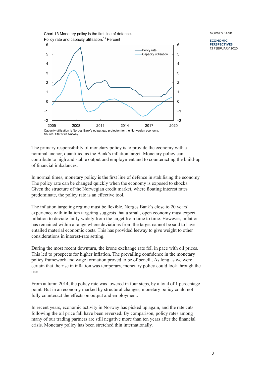Chart 13 Monetary policy is the first line of defence. Policy rate and capacity utilisation.<sup>1)</sup> Percent



**ECONOMIC PERSPECTIVES** 13 FEBRUARY 2020

The primary responsibility of monetary policy is to provide the economy with a nominal anchor, quantified as the Bank's inflation target. Monetary policy can contribute to high and stable output and employment and to counteracting the build-up of financial imbalances.

In normal times, monetary policy is the first line of defence in stabilising the economy. The policy rate can be changed quickly when the economy is exposed to shocks. Given the structure of the Norwegian credit market, where floating interest rates predominate, the policy rate is an effective tool.

The inflation targeting regime must be flexible. Norges Bank's close to 20 years' experience with inflation targeting suggests that a small, open economy must expect inflation to deviate fairly widely from the target from time to time. However, inflation has remained within a range where deviations from the target cannot be said to have entailed material economic costs. This has provided leeway to give weight to other considerations in interest-rate setting.

During the most recent downturn, the krone exchange rate fell in pace with oil prices. This led to prospects for higher inflation. The prevailing confidence in the monetary policy framework and wage formation proved to be of benefit. As long as we were certain that the rise in inflation was temporary, monetary policy could look through the rise.

From autumn 2014, the policy rate was lowered in four steps, by a total of 1 percentage point. But in an economy marked by structural changes, monetary policy could not fully counteract the effects on output and employment.

In recent years, economic activity in Norway has picked up again, and the rate cuts following the oil price fall have been reversed. By comparison, policy rates among many of our trading partners are still negative more than ten years after the financial crisis. Monetary policy has been stretched thin internationally.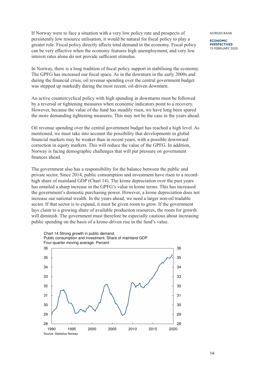If Norway were to face a situation with a very low policy rate and prospects of persistently low resource utilisation, it would be natural for fiscal policy to play a greater role. Fiscal policy directly affects total demand in the economy. Fiscal policy can be very effective when the economy features high unemployment, and very low interest rates alone do not provide sufficient stimulus.

In Norway, there is a long tradition of fiscal policy support in stabilising the economy. The GPFG has increased our fiscal space. As in the downturn in the early 2000s and during the financial crisis, oil revenue spending over the central government budget was stepped up markedly during the most recent, oil-driven downturn.

An active countercyclical policy with high spending in downturns must be followed by a reversal or tightening measures when economic indicators point to a recovery. However, because the value of the fund has steadily risen, we have long been spared the more demanding tightening measures. This may not be the case in the years ahead.

Oil revenue spending over the central government budget has reached a high level. As mentioned, we must take into account the possibility that developments in global financial markets may be weaker than in recent years, with a possible downward correction in equity markets. This will reduce the value of the GPFG. In addition, Norway is facing demographic challenges that will put pressure on government finances ahead.

The government also has a responsibility for the balance between the public and private sector. Since 2014, public consumption and investment have risen to a recordhigh share of mainland GDP (Chart 14). The krone depreciation over the past years has entailed a sharp increase in the GPFG's value in krone terms. This has increased the government's domestic purchasing power. However, a krone depreciation does not increase our national wealth. In the years ahead, we need a larger non-oil tradable sector. If that sector is to expand, it must be given room to grow. If the government lays claim to a growing share of available production resources, the room for growth will diminish. The government must therefore be especially cautious about increasing public spending on the basis of a krone-driven rise in the fund's value.



NORGES BANK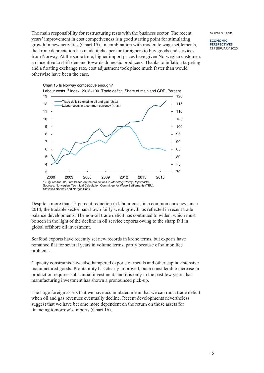The main responsibility for restructuring rests with the business sector. The recent years' improvement in cost competiveness is a good starting point for stimulating growth in new activities (Chart 15). In combination with moderate wage settlements, the krone depreciation has made it cheaper for foreigners to buy goods and services from Norway. At the same time, higher import prices have given Norwegian customers an incentive to shift demand towards domestic producers. Thanks to inflation targeting and a floating exchange rate, cost adjustment took place much faster than would otherwise have been the case.



**ECONOMIC PERSPECTIVES** 13 FEBRUARY 2020

Despite a more than 15 percent reduction in labour costs in a common currency since 2014, the tradable sector has shown fairly weak growth, as reflected in recent trade balance developments. The non-oil trade deficit has continued to widen, which must be seen in the light of the decline in oil service exports owing to the sharp fall in global offshore oil investment.

Seafood exports have recently set new records in krone terms, but exports have remained flat for several years in volume terms, partly because of salmon lice problems.

Capacity constraints have also hampered exports of metals and other capital-intensive manufactured goods. Profitability has clearly improved, but a considerable increase in production requires substantial investment, and it is only in the past few years that manufacturing investment has shown a pronounced pick-up.

The large foreign assets that we have accumulated mean that we can run a trade deficit when oil and gas revenues eventually decline. Recent developments nevertheless suggest that we have become more dependent on the return on those assets for financing tomorrow's imports (Chart 16).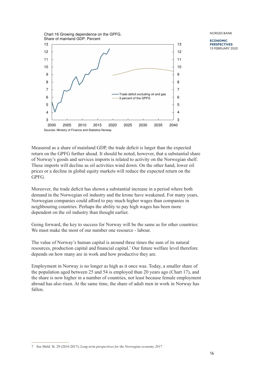13 Chart 16 Growing dependence on the GPFG. Share of mainland GDP. Percent



NORGES BANK

**ECONOMIC PERSPECTIVES** 13 FEBRUARY 2020

Measured as a share of mainland GDP, the trade deficit is larger than the expected return on the GPFG further ahead. It should be noted, however, that a substantial share of Norway's goods and services imports is related to activity on the Norwegian shelf. These imports will decline as oil activities wind down. On the other hand, lower oil prices or a decline in global equity markets will reduce the expected return on the GPFG.

Moreover, the trade deficit has shown a substantial increase in a period where both demand in the Norwegian oil industry and the krone have weakened. For many years, Norwegian companies could afford to pay much higher wages than companies in neighbouring countries. Perhaps the ability to pay high wages has been more dependent on the oil industry than thought earlier.

Going forward, the key to success for Norway will be the same as for other countries: We must make the most of our number one resource - labour.

The value of Norway's human capital is around three times the sum of its natural resources, production capital and financial capital.<sup>7</sup> Our future welfare level therefore depends on how many are in work and how productive they are.

Employment in Norway is no longer as high as it once was. Today, a smaller share of the population aged between 25 and 54 is employed than 20 years ago (Chart 17), and the share is now higher in a number of countries, not least because female employment abroad has also risen. At the same time, the share of adult men in work in Norway has fallen.

<sup>7</sup> See Meld. St. 29 (2016-2017), *Long-term perspectives for the Norwegian economy 2017.*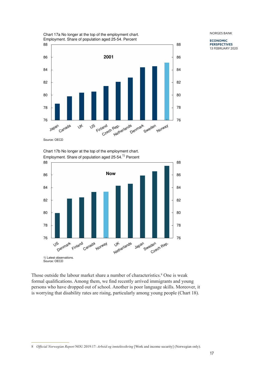**ECONOMIC PERSPECTIVES** 13 FEBRUARY 2020





Source: OECD

Chart 17b No longer at the top of the employment chart. Employment. Share of population aged 25-54.<sup>1)</sup> Percent



Those outside the labour market share a number of characteristics.<sup>8</sup> One is weak formal qualifications. Among them, we find recently arrived immigrants and young persons who have dropped out of school. Another is poor language skills. Moreover, it is worrying that disability rates are rising, particularly among young people (Chart 18).

<sup>8</sup> *Official Norwegian Report* NOU 2019:17: *Arbeid og inntektssikring* [Work and income security] (Norwegian only).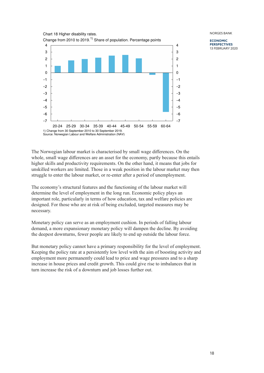

**ECONOMIC PERSPECTIVES** 13 FEBRUARY 2020

The Norwegian labour market is characterised by small wage differences. On the whole, small wage differences are an asset for the economy, partly because this entails higher skills and productivity requirements. On the other hand, it means that jobs for unskilled workers are limited. Those in a weak position in the labour market may then struggle to enter the labour market, or re-enter after a period of unemployment.

The economy's structural features and the functioning of the labour market will determine the level of employment in the long run. Economic policy plays an important role, particularly in terms of how education, tax and welfare policies are designed. For those who are at risk of being excluded, targeted measures may be necessary.

Monetary policy can serve as an employment cushion. In periods of falling labour demand, a more expansionary monetary policy will dampen the decline. By avoiding the deepest downturns, fewer people are likely to end up outside the labour force.

But monetary policy cannot have a primary responsibility for the level of employment. Keeping the policy rate at a persistently low level with the aim of boosting activity and employment more permanently could lead to price and wage pressures and to a sharp increase in house prices and credit growth. This could give rise to imbalances that in turn increase the risk of a downturn and job losses further out.